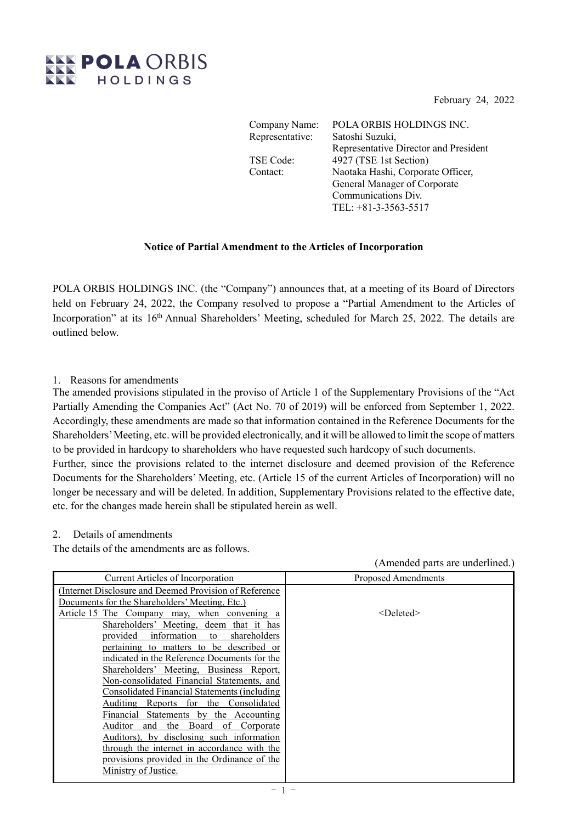February 24, 2022

(Amended parts are underlined.)



Company Name: POLA ORBIS HOLDINGS INC. Representative: Satoshi Suzuki, Representative Director and President TSE Code: 4927 (TSE 1st Section) Contact: Naotaka Hashi, Corporate Officer, General Manager of Corporate Communications Div. TEL: +81-3-3563-5517

## **Notice of Partial Amendment to the Articles of Incorporation**

POLA ORBIS HOLDINGS INC. (the "Company") announces that, at a meeting of its Board of Directors held on February 24, 2022, the Company resolved to propose a "Partial Amendment to the Articles of Incorporation" at its 16<sup>th</sup> Annual Shareholders' Meeting, scheduled for March 25, 2022. The details are outlined below.

## 1. Reasons for amendments

The amended provisions stipulated in the proviso of Article 1 of the Supplementary Provisions of the "Act Partially Amending the Companies Act" (Act No. 70 of 2019) will be enforced from September 1, 2022. Accordingly, these amendments are made so that information contained in the Reference Documents for the Shareholders' Meeting, etc. will be provided electronically, and it will be allowed to limit the scope of matters to be provided in hardcopy to shareholders who have requested such hardcopy of such documents. Further, since the provisions related to the internet disclosure and deemed provision of the Reference

Documents for the Shareholders' Meeting, etc. (Article 15 of the current Articles of Incorporation) will no longer be necessary and will be deleted. In addition, Supplementary Provisions related to the effective date, etc. for the changes made herein shall be stipulated herein as well.

## 2. Details of amendments

The details of the amendments are as follows.

| Current Articles of Incorporation                      | <b>Proposed Amendments</b> |
|--------------------------------------------------------|----------------------------|
| (Internet Disclosure and Deemed Provision of Reference |                            |
| Documents for the Shareholders' Meeting, Etc.)         |                            |
| Article 15 The Company may, when convening a           | $<$ Deleted $>$            |
| Shareholders' Meeting, deem that it has                |                            |
| information to<br>provided<br>shareholders             |                            |
| pertaining to matters to be described or               |                            |
| indicated in the Reference Documents for the           |                            |
| Shareholders' Meeting, Business Report,                |                            |
| Non-consolidated Financial Statements, and             |                            |
| Consolidated Financial Statements (including           |                            |
| Auditing Reports for the Consolidated                  |                            |
| Financial Statements by the Accounting                 |                            |
| Auditor<br>Board<br>of Corporate<br>the<br>and         |                            |
| Auditors), by disclosing such information              |                            |
| through the internet in accordance with the            |                            |
| provisions provided in the Ordinance of the            |                            |
| Ministry of Justice.                                   |                            |